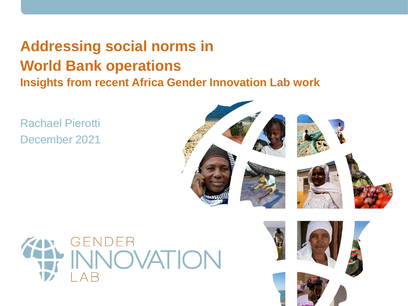# **Addressing social norms in World Bank operations Insights from recent Africa Gender Innovation Lab work**

Rachael Pierotti December 2021





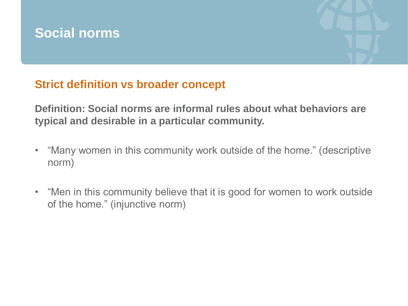

# **Strict definition vs broader concept**

**Definition: Social norms are informal rules about what behaviors are typical and desirable in a particular community.** 

- "Many women in this community work outside of the home." (descriptive norm)
- "Men in this community believe that it is good for women to work outside of the home." (injunctive norm)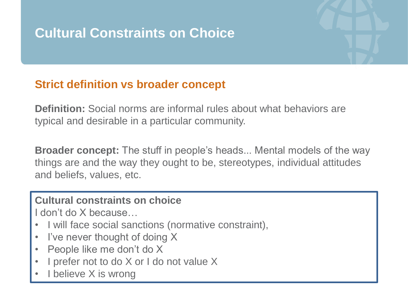# **Cultural Constraints on Choice**

### **Strict definition vs broader concept**

**Definition:** Social norms are informal rules about what behaviors are typical and desirable in a particular community.

**Broader concept:** The stuff in people's heads... Mental models of the way things are and the way they ought to be, stereotypes, individual attitudes and beliefs, values, etc.

#### **Cultural constraints on choice**

I don't do X because…

- I will face social sanctions (normative constraint),
- I've never thought of doing X
- People like me don't do X
- I prefer not to do X or I do not value X
- I believe X is wrong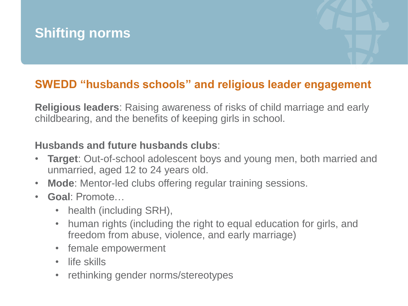## **SWEDD "husbands schools" and religious leader engagement**

**Religious leaders**: Raising awareness of risks of child marriage and early childbearing, and the benefits of keeping girls in school.

### **Husbands and future husbands clubs**:

- **Target**: Out-of-school adolescent boys and young men, both married and unmarried, aged 12 to 24 years old.
- **Mode**: Mentor-led clubs offering regular training sessions.
- **Goal**: Promote…
	- health (including SRH),
	- human rights (including the right to equal education for girls, and freedom from abuse, violence, and early marriage)
	- female empowerment
	- life skills
	- rethinking gender norms/stereotypes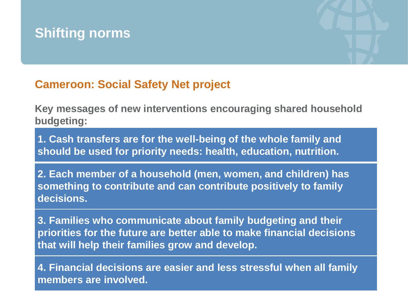

## **Cameroon: Social Safety Net project**

**Key messages of new interventions encouraging shared household budgeting:**

**1. Cash transfers are for the well-being of the whole family and should be used for priority needs: health, education, nutrition.**

**2. Each member of a household (men, women, and children) has something to contribute and can contribute positively to family decisions.**

**3. Families who communicate about family budgeting and their priorities for the future are better able to make financial decisions that will help their families grow and develop.**

**4. Financial decisions are easier and less stressful when all family members are involved.**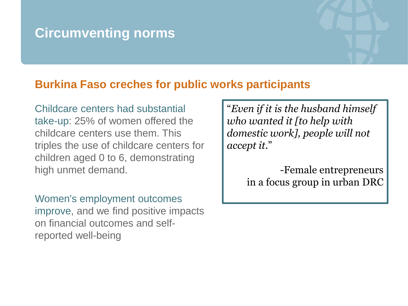# **Circumventing norms**

### **Burkina Faso creches for public works participants**

Childcare centers had substantial take-up: 25% of women offered the childcare centers use them. This triples the use of childcare centers for children aged 0 to 6, demonstrating high unmet demand.

Women's employment outcomes improve, and we find positive impacts on financial outcomes and selfreported well-being

"*Even if it is the husband himself who wanted it [to help with domestic work], people will not accept it*."

> -Female entrepreneurs in a focus group in urban DRC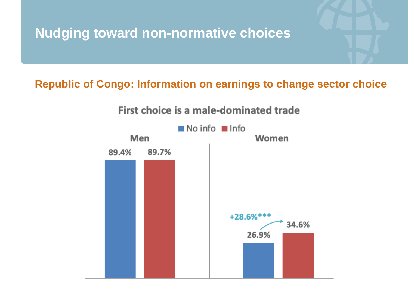# **Nudging toward non-normative choices**

### **Republic of Congo: Information on earnings to change sector choice**

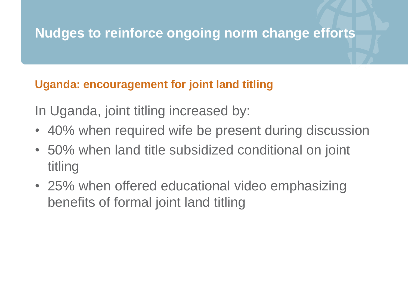# **Nudges to reinforce ongoing norm change efforts**

## **Uganda: encouragement for joint land titling**

In Uganda, joint titling increased by:

- 40% when required wife be present during discussion
- 50% when land title subsidized conditional on joint titling
- 25% when offered educational video emphasizing benefits of formal joint land titling